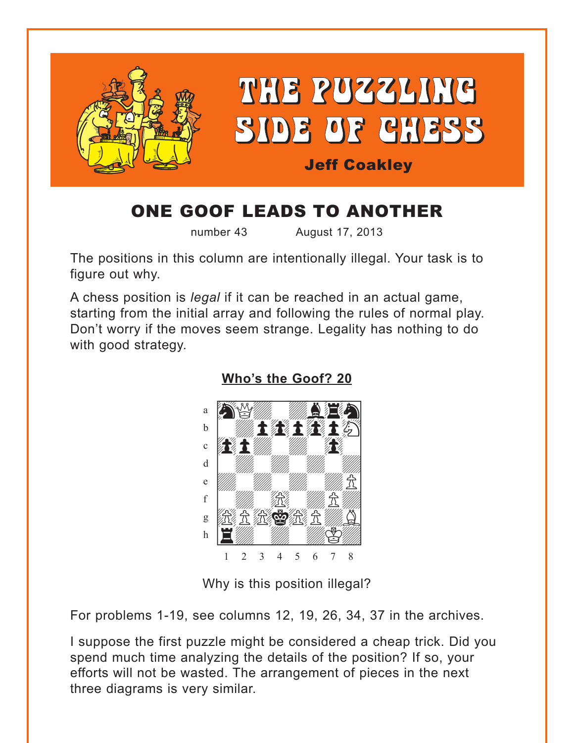<span id="page-0-0"></span>

# ONE GOOF LEADS TO ANOTHER

number 43 August 17, 2013

The positions in this column are intentionally illegal. Your task is to figure out why.

A chess position is *legal* if it can be reached in an actual game, starting from the initial array and following the rules of normal play. Don't worry if the moves seem strange. Legality has nothing to do with good strategy.



**[Who's the Goof? 20](#page-3-0)**

Why is this position illegal?

For problems 1-19, see columns 12, 19, 26, 34, 37 in the archives.

I suppose the first puzzle might be considered a cheap trick. Did you spend much time analyzing the details of the position? If so, your efforts will not be wasted. The arrangement of pieces in the next three diagrams is very similar.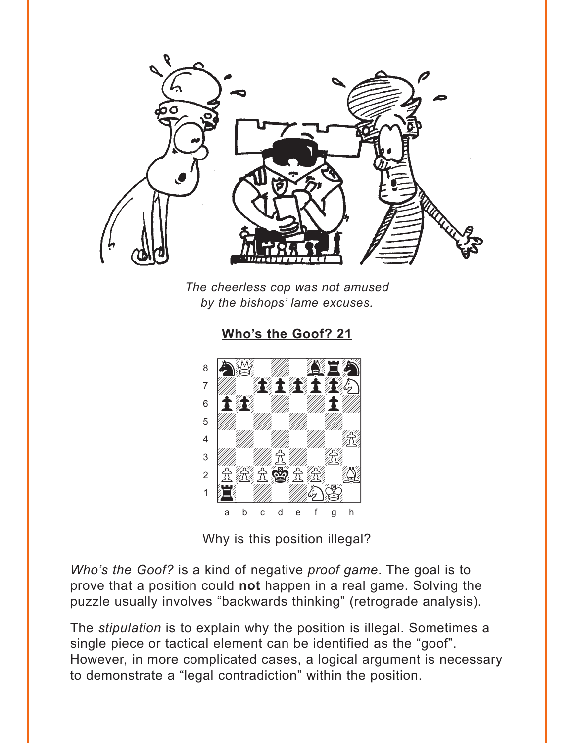<span id="page-1-0"></span>

The cheerless cop was not amused by the bishops' lame excuses.

8  $\overline{7}$ 土缝 6 5  $\overline{4}$ 3 立然立营立法  $\overline{2}$  $\mathbf{1}$ a b  $\mathbf{C}$ d  $\mathbf e$ g

Who's the Goof? 21

Why is this position illegal?

Who's the Goof? is a kind of negative proof game. The goal is to prove that a position could not happen in a real game. Solving the puzzle usually involves "backwards thinking" (retrograde analysis).

The stipulation is to explain why the position is illegal. Sometimes a single piece or tactical element can be identified as the "goof". However, in more complicated cases, a logical argument is necessary to demonstrate a "legal contradiction" within the position.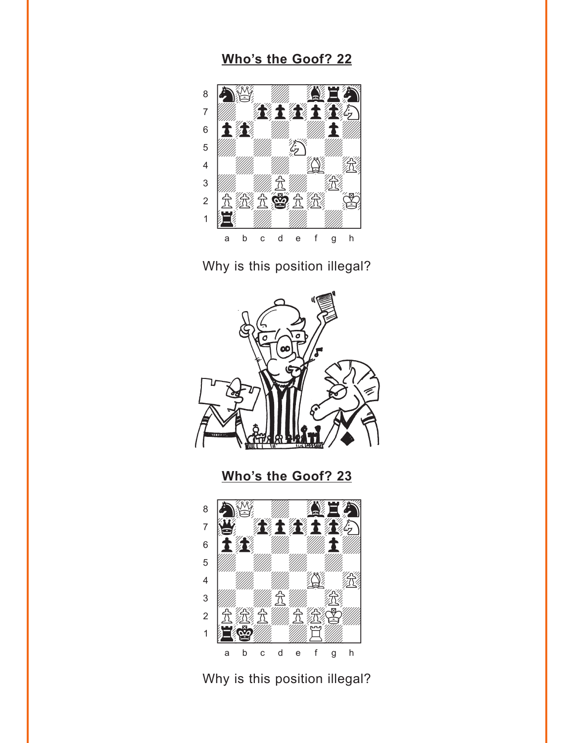# Who's the Goof? 22

<span id="page-2-0"></span>

Why is this position illegal?



Who's the Goof? 23



Why is this position illegal?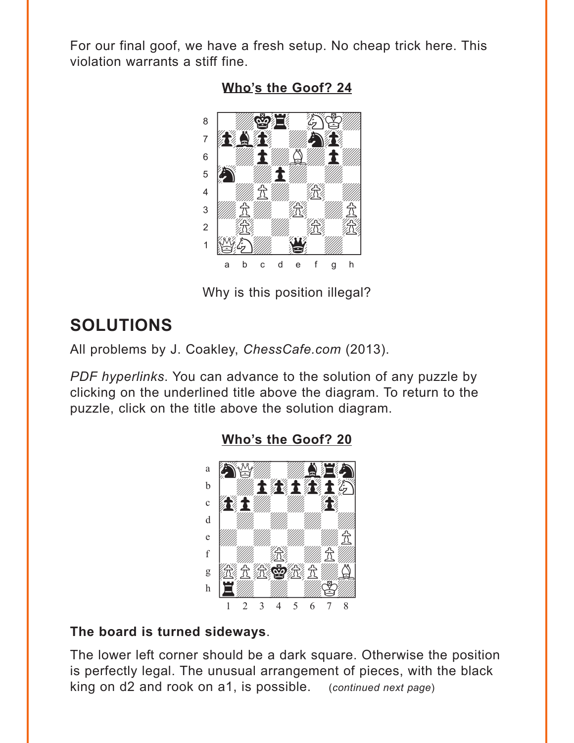<span id="page-3-0"></span>For our final goof, we have a fresh setup. No cheap trick here. This violation warrants a stiff fine.



Who's the Goof? 24

Why is this position illegal?

# **SOLUTIONS**

All problems by J. Coakley, ChessCafe.com (2013).

PDF hyperlinks. You can advance to the solution of any puzzle by clicking on the underlined title above the diagram. To return to the puzzle, click on the title above the solution diagram.



### Who's the Goof? 20

#### The board is turned sideways.

The lower left corner should be a dark square. Otherwise the position is perfectly legal. The unusual arrangement of pieces, with the black king on d2 and rook on a1, is possible. (continued next page)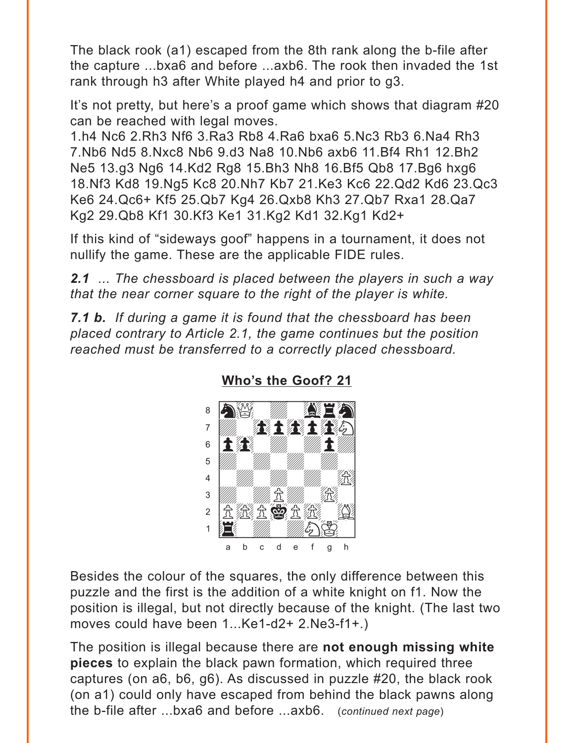<span id="page-4-0"></span>The black rook (a1) escaped from the 8th rank along the b-file after the capture ...bxa6 and before ...axb6. The rook then invaded the 1st rank through h3 after White played h4 and prior to g3.

It's not pretty, but here's a proof game which shows that diagram #20 can be reached with legal moves.

1.h4 Nc6 2.Rh3 Nf6 3.Ra3 Rb8 4.Ra6 bxa6 5.Nc3 Rb3 6.Na4 Rh3 7.Nb6 Nd5 8.Nxc8 Nb6 9.d3 Na8 10.Nb6 axb6 11.Bf4 Rh1 12.Bh2 Ne5 13.g3 Ng6 14.Kd2 Rg8 15.Bh3 Nh8 16.Bf5 Qb8 17.Bg6 hxg6 18.Nf3 Kd8 19.Ng5 Kc8 20.Nh7 Kb7 21.Ke3 Kc6 22.Qd2 Kd6 23.Qc3 Ke6 24.Qc6+ Kf5 25.Qb7 Kg4 26.Qxb8 Kh3 27.Qb7 Rxa1 28.Qa7 Kg2 29.Qb8 Kf1 30.Kf3 Ke1 31.Kg2 Kd1 32.Kg1 Kd2+

If this kind of "sideways goof" happens in a tournament, it does not nullify the game. These are the applicable FIDE rules.

*2.1 ... The chessboard is placed between the players in such a way that the near corner square to the right of the player is white.*

*7.1 b. If during a game it is found that the chessboard has been placed contrary to Article 2.1, the game continues but the position reached must be transferred to a correctly placed chessboard.*



**[Who's the Goof? 21](#page-1-0)**

Besides the colour of the squares, the only difference between this puzzle and the first is the addition of a white knight on f1. Now the position is illegal, but not directly because of the knight. (The last two moves could have been 1...Ke1-d2+ 2.Ne3-f1+.)

The position is illegal because there are **not enough missing white pieces** to explain the black pawn formation, which required three captures (on a6, b6, g6). As discussed in puzzle #20, the black rook (on a1) could only have escaped from behind the black pawns along the b-file after ...bxa6 and before ...axb6. (*continued next page*)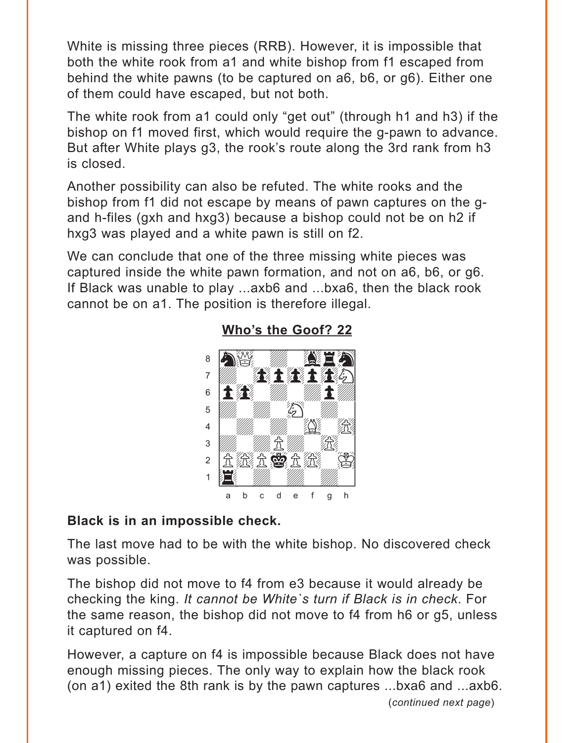<span id="page-5-0"></span>White is missing three pieces (RRB). However, it is impossible that both the white rook from a1 and white bishop from f1 escaped from behind the white pawns (to be captured on a6, b6, or g6). Either one of them could have escaped, but not both.

The white rook from a1 could only "get out" (through h1 and h3) if the bishop on f1 moved first, which would require the g-pawn to advance. But after White plays g3, the rook's route along the 3rd rank from h3 is closed.

Another possibility can also be refuted. The white rooks and the bishop from f1 did not escape by means of pawn captures on the gand h-files (gxh and hxg3) because a bishop could not be on h2 if hxg3 was played and a white pawn is still on f2.

We can conclude that one of the three missing white pieces was captured inside the white pawn formation, and not on a6, b6, or g6. If Black was unable to play ...axb6 and ...bxa6, then the black rook cannot be on a1. The position is therefore illegal.



#### **[Who's the Goof? 22](#page-2-0)**

#### **Black is in an impossible check.**

The last move had to be with the white bishop. No discovered check was possible.

The bishop did not move to f4 from e3 because it would already be checking the king. *It cannot be White`s turn if Black is in check*. For the same reason, the bishop did not move to f4 from h6 or g5, unless it captured on f4.

However, a capture on f4 is impossible because Black does not have enough missing pieces. The only way to explain how the black rook (on a1) exited the 8th rank is by the pawn captures ...bxa6 and ...axb6.

(*continued next page*)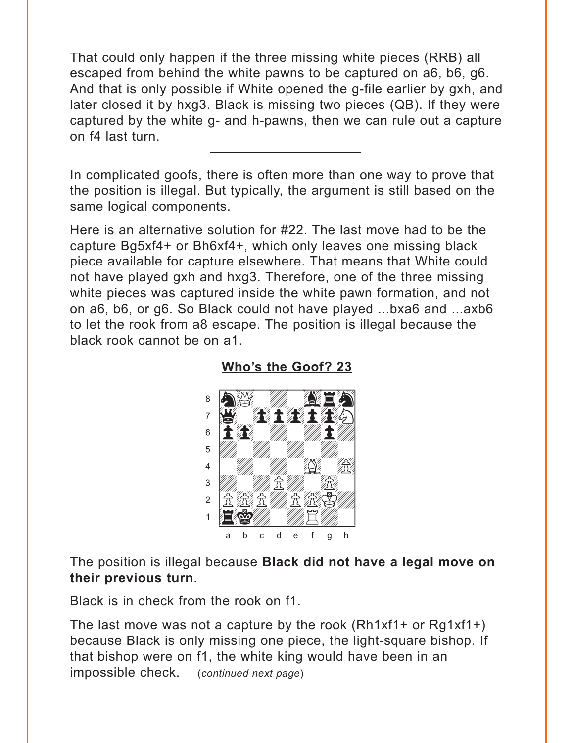<span id="page-6-0"></span>That could only happen if the three missing white pieces (RRB) all escaped from behind the white pawns to be captured on a6, b6, g6. And that is only possible if White opened the g-file earlier by gxh, and later closed it by hxg3. Black is missing two pieces (QB). If they were captured by the white g- and h-pawns, then we can rule out a capture on f4 last turn.

In complicated goofs, there is often more than one way to prove that the position is illegal. But typically, the argument is still based on the same logical components.

Here is an alternative solution for #22. The last move had to be the capture Bg5xf4+ or Bh6xf4+, which only leaves one missing black piece available for capture elsewhere. That means that White could not have played gxh and hxg3. Therefore, one of the three missing white pieces was captured inside the white pawn formation, and not on a6, b6, or g6. So Black could not have played ...bxa6 and ...axb6 to let the rook from a8 escape. The position is illegal because the black rook cannot be on a1.



**[Who's the Goof? 23](#page-2-0)**

The position is illegal because **Black did not have a legal move on their previous turn**.

Black is in check from the rook on f1.

The last move was not a capture by the rook (Rh1xf1+ or Rg1xf1+) because Black is only missing one piece, the light-square bishop. If that bishop were on f1, the white king would have been in an impossible check. (*continued next page*)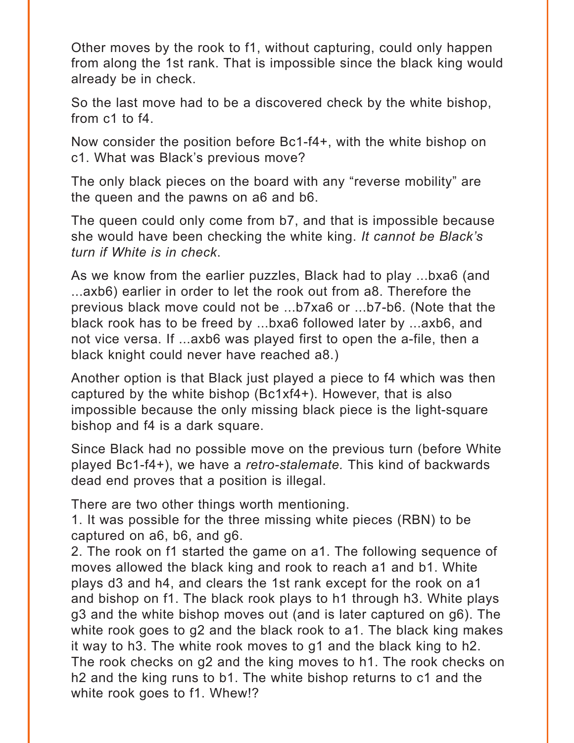Other moves by the rook to f1, without capturing, could only happen from along the 1st rank. That is impossible since the black king would already be in check.

So the last move had to be a discovered check by the white bishop, from c1 to f4.

Now consider the position before Bc1-f4+, with the white bishop on c1. What was Black's previous move?

The only black pieces on the board with any "reverse mobility" are the queen and the pawns on a6 and b6.

The queen could only come from b7, and that is impossible because she would have been checking the white king. *It cannot be Black's turn if White is in check*.

As we know from the earlier puzzles, Black had to play ...bxa6 (and ...axb6) earlier in order to let the rook out from a8. Therefore the previous black move could not be ...b7xa6 or ...b7-b6. (Note that the black rook has to be freed by ...bxa6 followed later by ...axb6, and not vice versa. If ...axb6 was played first to open the a-file, then a black knight could never have reached a8.)

Another option is that Black just played a piece to f4 which was then captured by the white bishop (Bc1xf4+). However, that is also impossible because the only missing black piece is the light-square bishop and f4 is a dark square.

Since Black had no possible move on the previous turn (before White played Bc1-f4+), we have a *retro-stalemate.* This kind of backwards dead end proves that a position is illegal.

There are two other things worth mentioning.

1. It was possible for the three missing white pieces (RBN) to be captured on a6, b6, and g6.

2. The rook on f1 started the game on a1. The following sequence of moves allowed the black king and rook to reach a1 and b1. White plays d3 and h4, and clears the 1st rank except for the rook on a1 and bishop on f1. The black rook plays to h1 through h3. White plays g3 and the white bishop moves out (and is later captured on g6). The white rook goes to g2 and the black rook to a1. The black king makes it way to h3. The white rook moves to g1 and the black king to h2. The rook checks on g2 and the king moves to h1. The rook checks on h<sub>2</sub> and the king runs to b<sub>1</sub>. The white bishop returns to c<sub>1</sub> and the white rook goes to f1. Whew!?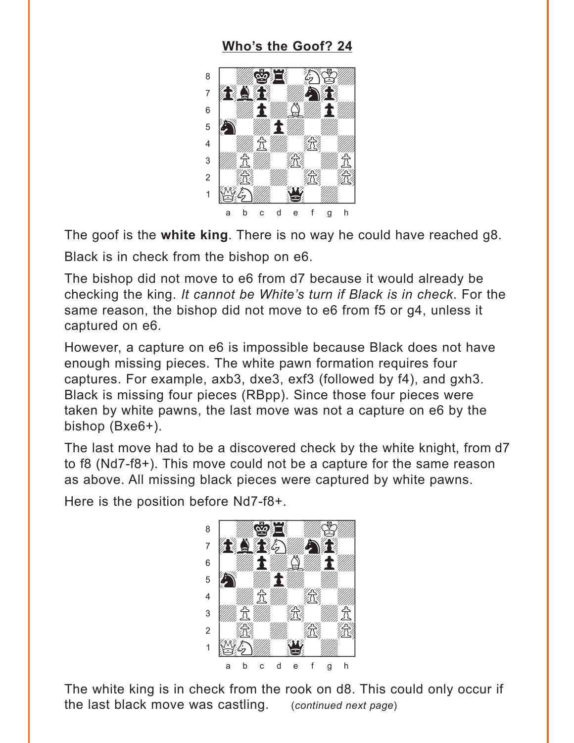## Who's the Goof? 24

<span id="page-8-0"></span>

The goof is the white king. There is no way he could have reached g8. Black is in check from the bishop on e6.

The bishop did not move to e6 from d7 because it would already be checking the king. It cannot be White's turn if Black is in check. For the same reason, the bishop did not move to e6 from f5 or q4, unless it captured on e6.

However, a capture on e6 is impossible because Black does not have enough missing pieces. The white pawn formation requires four captures. For example, axb3, dxe3, exf3 (followed by f4), and gxh3. Black is missing four pieces (RBpp). Since those four pieces were taken by white pawns, the last move was not a capture on e6 by the bishop (Bxe6+).

The last move had to be a discovered check by the white knight, from d7 to f8 (Nd7-f8+). This move could not be a capture for the same reason as above. All missing black pieces were captured by white pawns.

Here is the position before Nd7-f8+.



The white king is in check from the rook on d8. This could only occur if the last black move was castling. (continued next page)